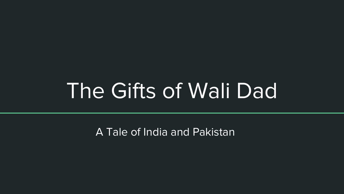## The Gifts of Wali Dad

A Tale of India and Pakistan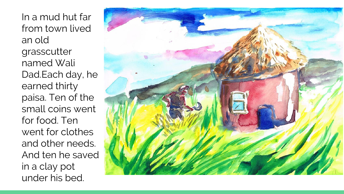In a mud hut far from town lived an old grasscutter named Wali Dad.Each day, he earned thirty paisa. Ten of the small coins went for food. Ten went for clothes and other needs. And ten he saved in a clay pot under his bed.

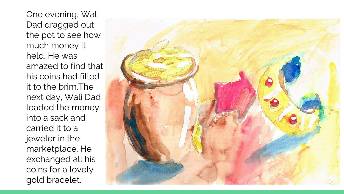One evening, Wali Dad dragged out the pot to see how much money it held. He was amazed to find that his coins had filled it to the brim.The next day, Wali Dad loaded the money into a sack and carried it to a jeweler in the marketplace. He exchanged all his coins for a lovely gold bracelet.

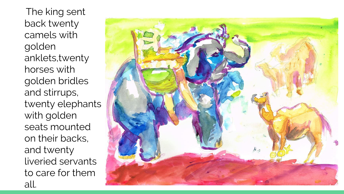The king sent back twenty camels with golden anklets,twenty horses with golden bridles and stirrups, twenty elephants with golden seats mounted on their backs, and twenty liveried servants to care for them all.

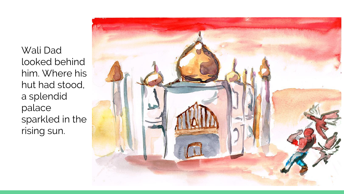Wali Dad looked behind him. Where his hut had stood, a splendid palace sparkled in the rising sun.